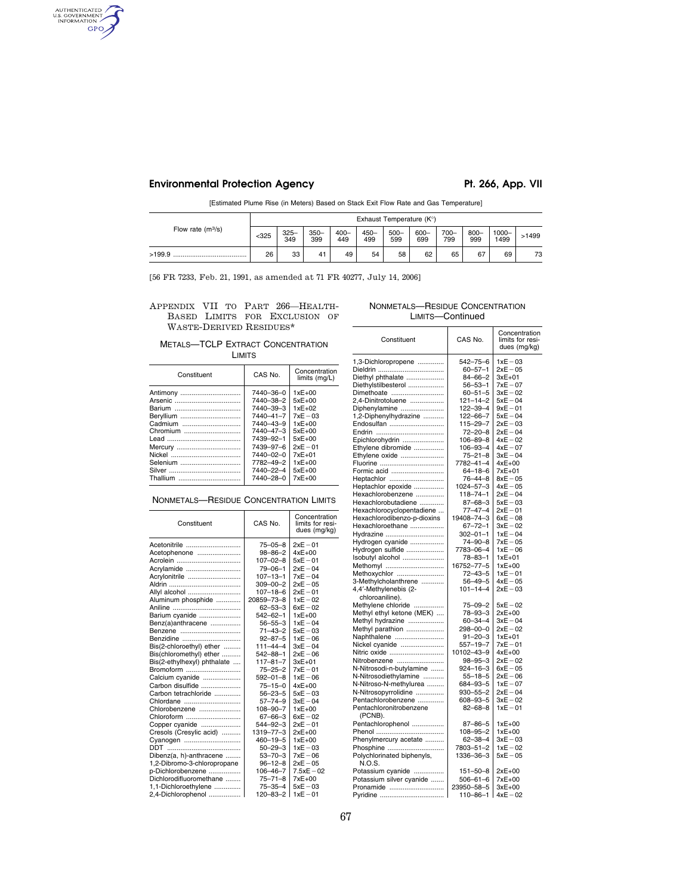Environmental Protection Agency **Pt. 266, App. VII** 

AUTHENTICATED GPO

[Estimated Plume Rise (in Meters) Based on Stack Exit Flow Rate and Gas Temperature]

|                     | Exhaust Temperature (K°) |                |               |                |                |                |                |                |                |               |       |
|---------------------|--------------------------|----------------|---------------|----------------|----------------|----------------|----------------|----------------|----------------|---------------|-------|
| Flow rate $(m^3/s)$ | $325$                    | $325 -$<br>349 | $350-$<br>399 | $400 -$<br>449 | $450 -$<br>499 | $500 -$<br>599 | $600 -$<br>699 | $700 -$<br>799 | $800 -$<br>999 | 1000-<br>1499 | >1499 |
| >199.9              | 26                       | 33             | 41            | 49             | 54             | 58             | 62             | 65             | 67             | 69            | 73    |

[56 FR 7233, Feb. 21, 1991, as amended at 71 FR 40277, July 14, 2006]

APPENDIX VII TO PART 266—HEALTH-BASED LIMITS FOR EXCLUSION OF WASTE-DERIVED RESIDUES\*

# METALS—TCLP EXTRACT CONCENTRATION LIMITS

| Constituent     | CAS No.         | Concentration<br>limits (mg/L) |
|-----------------|-----------------|--------------------------------|
| Antimony        | 7440-36-0       | $1xE+00$                       |
| Arsenic         | 7440-38-2       | $5xE+00$                       |
|                 | 7440-39-3       | $1xE+02$                       |
| Beryllium       | $7440 - 41 - 7$ | $7xE - 03$                     |
| Cadmium         | 7440-43-9       | $1xE+00$                       |
| Chromium        | 7440-47-3       | $5xE+00$                       |
|                 | 7439-92-1       | $5xE+00$                       |
| Mercury         | 7439-97-6       | $2xE - 01$                     |
|                 | $7440 - 02 - 0$ | 7xE+01                         |
| Selenium        | 7782-49-2       | $1xE+00$                       |
|                 | 7440-22-4       | $5xE+00$                       |
| <b>Thallium</b> | 7440-28-0       | $7xE+00$                       |
|                 |                 |                                |

# NONMETALS—RESIDUE CONCENTRATION LIMITS

| Constituent                 | CAS No.         | Concentration<br>limits for resi-<br>dues (mg/kg) |
|-----------------------------|-----------------|---------------------------------------------------|
| Acetonitrile                | $75 - 05 - 8$   | $2xE-01$                                          |
| Acetophenone                | $98 - 86 - 2$   | $4xE+00$                                          |
| Acrolein                    | $107 - 02 - 8$  | $5xE-01$                                          |
| Acrylamide                  | $79 - 06 - 1$   | $2xE-04$                                          |
| Acrylonitrile               | $107 - 13 - 1$  | $7xE - 04$                                        |
|                             | $309 - 00 - 2$  | $2xE - 05$                                        |
| Allyl alcohol               | $107 - 18 - 6$  | $2xE - 01$                                        |
| Aluminum phosphide          | 20859-73-8      | $1xE-02$                                          |
|                             | $62 - 53 - 3$   | $6xE-02$                                          |
| Barium cyanide              | $542 - 62 - 1$  | $1xE+00$                                          |
| Benz(a)anthracene           | $56 - 55 - 3$   | $1xE - 04$                                        |
| Benzene                     | $71 - 43 - 2$   | $5xE-03$                                          |
| Benzidine                   | $92 - 87 - 5$   | $1xE-06$                                          |
| Bis(2-chloroethyl) ether    | $111 - 44 - 4$  | $3xE - 04$                                        |
| Bis(chloromethyl) ether     | $542 - 88 - 1$  | $2xE - 06$                                        |
| Bis(2-ethylhexyl) phthalate | $117 - 81 - 7$  | $3xE+01$                                          |
| Bromoform                   | $75 - 25 - 2$   | $7xE - 01$                                        |
| Calcium cyanide             | $592 - 01 - 8$  | $1xE-06$                                          |
| Carbon disulfide            | $75 - 15 - 0$   | $4xE+00$                                          |
| Carbon tetrachloride        | $56 - 23 - 5$   | $5xE - 03$                                        |
| Chlordane                   | $57 - 74 - 9$   | $3xE - 04$                                        |
| Chlorobenzene               | $108 - 90 - 7$  | $1xE+00$                                          |
| Chloroform                  | $67 - 66 - 3$   | $6xE - 02$                                        |
| Copper cyanide              | $544 - 92 - 3$  | $2xE-01$                                          |
| Cresols (Cresylic acid)     | $1319 - 77 - 3$ | $2xE+00$                                          |
| Cyanogen                    | $460 - 19 - 5$  | $1xE+00$                                          |
|                             | $50 - 29 - 3$   | $1xE - 03$                                        |
| Dibenz(a, h)-anthracene     | $53 - 70 - 3$   | $7xE-06$                                          |
| 1,2-Dibromo-3-chloropropane | $96 - 12 - 8$   | $2xE - 05$                                        |
| p-Dichlorobenzene           | $106 - 46 - 7$  | $7.5xE - 02$                                      |
| Dichlorodifluoromethane     | $75 - 71 - 8$   | 7xE+00                                            |
| 1.1-Dichloroethylene        | $75 - 35 - 4$   | $5xE-03$                                          |
| 2,4-Dichlorophenol          | 120-83-2        | $1xE-01$                                          |

# NONMETALS—RESIDUE CONCENTRATION LIMITS—Continued

| Constituent                          | CAS No.               | Concentration<br>limits for resi-<br>dues (mg/kg) |
|--------------------------------------|-----------------------|---------------------------------------------------|
| 1,3-Dichloropropene                  | 542–75–6              | 1xE-03                                            |
| Dieldrin                             | $60 - 57 - 1$         | $2xE-05$                                          |
| Diethyl phthalate                    | 84–66–2               | 3xE+01                                            |
| Diethylstilbesterol                  | $56 - 53 - 1$         | $7xE-07$                                          |
| Dimethoate                           | $60 - 51 - 5$         | $3xE-02$                                          |
| 2,4-Dinitrotoluene                   | $121 - 14 - 2$        | $5xE-04$                                          |
| Diphenylamine                        | 122-39-4              | $9xE-01$                                          |
| 1,2-Diphenylhydrazine                | $122 - 66 - 7$        | $5xE-04$                                          |
| Endosulfan                           | $115 - 29 - 7$        | $2xE-03$                                          |
|                                      | $72 - 20 - 8$         | $2xE-04$                                          |
| Epichlorohydrin                      | 106-89-8              | $4xE-02$                                          |
| Ethylene dibromide                   | 106-93-4              | 4xE-07                                            |
| Ethylene oxide                       | $75 - 21 - 8$         | $3xE-04$                                          |
| Fluorine                             | 7782-41-4             | 4xE+00                                            |
| Formic acid                          | $64 - 18 - 6$         | 7xE+01                                            |
| Heptachlor                           | 76–44–8               | $8xE-05$                                          |
| Heptachlor epoxide                   | $1024 - 57 - 3$       | $4xE - 05$                                        |
| Hexachlorobenzene                    | $118 - 74 - 1$        | 2xE-04                                            |
| Hexachlorobutadiene                  | $87 - 68 - 3$         | $5xE-03$                                          |
| Hexachlorocyclopentadiene            | 77-47-4               | $2xE-01$                                          |
| Hexachlorodibenzo-p-dioxins          | 19408-74-3            | $6xE-08$                                          |
| Hexachloroethane                     | $67 - 72 - 1$         | $3xE-02$                                          |
| Hydrazine                            | $302 - 01 - 1$        | $1xE - 04$                                        |
| Hydrogen cyanide                     | 74-90-8               | $7xE-05$                                          |
| Hydrogen sulfide                     | 7783-06-4             | $1xE-06$                                          |
| Isobutyl alcohol                     | 78-83-1               | 1xE+01<br>$1xE+00$                                |
| Methomyl                             | 16752-77-5<br>72–43–5 | $1xE-01$                                          |
| Methoxychlor<br>3-Methylcholanthrene | $56 - 49 - 5$         | $4xE-05$                                          |
| 4,4'-Methylenebis (2-                | $101 - 14 - 4$        | 2xE-03                                            |
| chloroaniline).                      |                       |                                                   |
| Methylene chloride                   | $75 - 09 - 2$         | $5xE-02$                                          |
| Methyl ethyl ketone (MEK)            | 78–93–3               | $2xE+00$                                          |
| Methyl hydrazine                     | $60 - 34 - 4$         | $3xE-04$                                          |
| Methyl parathion                     | 298-00-0              | 2xE-02                                            |
| Naphthalene                          | $91 - 20 - 3$         | $1xE+01$                                          |
| Nickel cyanide                       | 557-19-7              | 7xE-01                                            |
| Nitric oxide                         | 10102-43-9            | $4xE+00$                                          |
| Nitrobenzene                         | $98 - 95 - 3$         | $2xE-02$                                          |
| N-Nitrosodi-n-butylamine             | $924 - 16 - 3$        | $6xE-05$                                          |
| N-Nitrosodiethylamine                | $55 - 18 - 5$         | $2xE-06$                                          |
| N-Nitroso-N-methylurea               | 684-93-5              | $1xE-07$                                          |
| N-Nitrosopyrrolidine                 | $930 - 55 - 2$        | $2xE-04$                                          |
| Pentachlorobenzene                   | 608-93-5              | $3xE-02$                                          |
| Pentachloronitrobenzene              | $82 - 68 - 8$         | $1xE-01$                                          |
| (PCNB).                              |                       |                                                   |
| Pentachlorophenol                    | $87 - 86 - 5$         | 1xE+00                                            |
|                                      | $108 - 95 - 2$        | $1xE+00$                                          |
| Phenylmercury acetate                | $62 - 38 - 4$         | $3xE-03$                                          |
| Phosphine                            | 7803-51-2             | $1xE - 02$                                        |
| Polychlorinated biphenyls,           | 1336-36-3             | $5xE-05$                                          |
| N.O.S.                               |                       |                                                   |
| Potassium cyanide                    | 151-50-8              | $2xE+00$                                          |
| Potassium silver cyanide             | 506-61-6              | 7xE+00                                            |
| Pronamide                            | 23950-58-5            | $3xE+00$                                          |
| Pyridine                             | 110-86-1              | $4xE - 02$                                        |